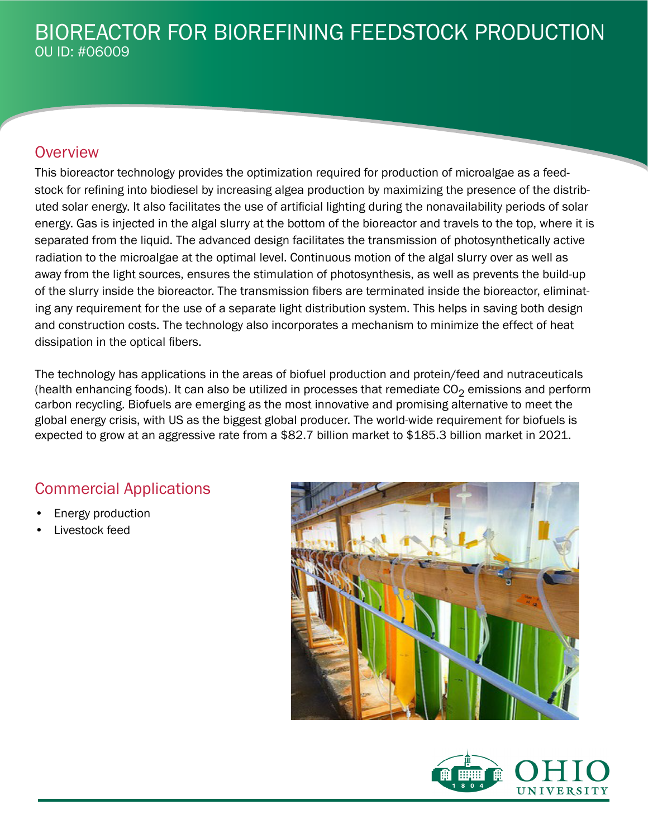## **Overview**

This bioreactor technology provides the optimization required for production of microalgae as a feedstock for refining into biodiesel by increasing algea production by maximizing the presence of the distributed solar energy. It also facilitates the use of artificial lighting during the nonavailability periods of solar energy. Gas is injected in the algal slurry at the bottom of the bioreactor and travels to the top, where it is separated from the liquid. The advanced design facilitates the transmission of photosynthetically active radiation to the microalgae at the optimal level. Continuous motion of the algal slurry over as well as away from the light sources, ensures the stimulation of photosynthesis, as well as prevents the build-up of the slurry inside the bioreactor. The transmission fibers are terminated inside the bioreactor, eliminating any requirement for the use of a separate light distribution system. This helps in saving both design and construction costs. The technology also incorporates a mechanism to minimize the effect of heat dissipation in the optical fibers.

The technology has applications in the areas of biofuel production and protein/feed and nutraceuticals (health enhancing foods). It can also be utilized in processes that remediate  $CO<sub>2</sub>$  emissions and perform carbon recycling. Biofuels are emerging as the most innovative and promising alternative to meet the global energy crisis, with US as the biggest global producer. The world-wide requirement for biofuels is expected to grow at an aggressive rate from a \$82.7 billion market to \$185.3 billion market in 2021.

## Commercial Applications

- Energy production
- Livestock feed